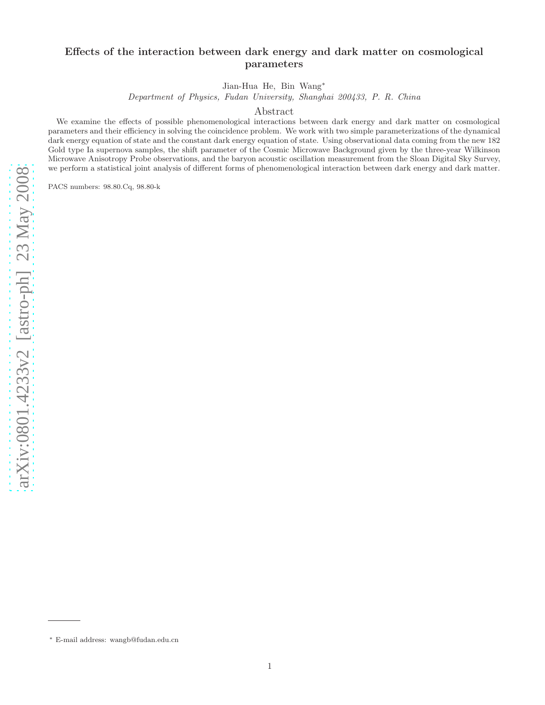Jian-Hua He, Bin Wang<sup>∗</sup>

Department of Physics, Fudan University, Shanghai 200433, P. R. China

Abstract

We examine the effects of possible phenomenological interactions between dark energy and dark matter on cosmological parameters and their efficiency in solving the coincidence problem. We work with two simple parameterizations of the dynamical dark energy equation of state and the constant dark energy equation of state. Using observational data coming from the new 182 Gold type Ia supernova samples, the shift parameter of the Cosmic Microwave Background given by the three-year Wilkinson Microwave Anisotropy Probe observations, and the baryon acoustic oscillation measurement from the Sloan Digital Sky Survey, we perform a statistical joint analysis of different forms of phenomenological interaction between dark energy and dark matter.

PACS numbers: 98.80.Cq, 98.80-k

<sup>∗</sup> E-mail address: wangb@fudan.edu.cn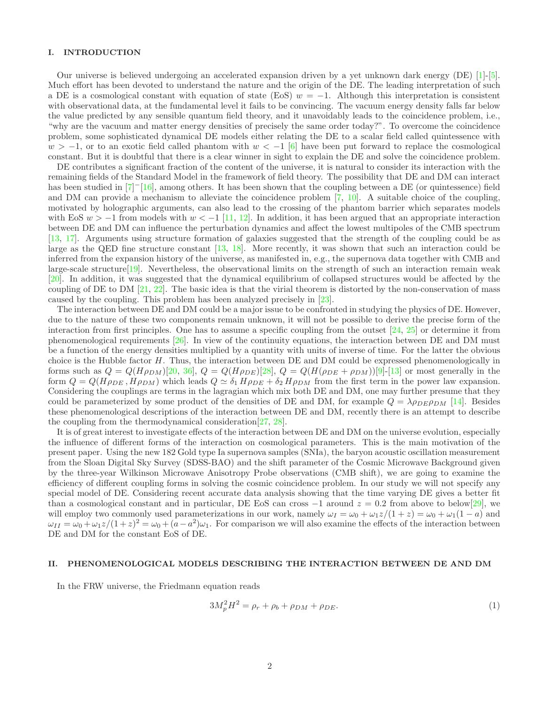# I. INTRODUCTION

Our universe is believed undergoing an accelerated expansion driven by a yet unknown dark energy (DE) [\[1\]](#page-11-0)-[\[5\]](#page-11-1). Much effort has been devoted to understand the nature and the origin of the DE. The leading interpretation of such a DE is a cosmological constant with equation of state (EoS)  $w = -1$ . Although this interpretation is consistent with observational data, at the fundamental level it fails to be convincing. The vacuum energy density falls far below the value predicted by any sensible quantum field theory, and it unavoidably leads to the coincidence problem, i.e., "why are the vacuum and matter energy densities of precisely the same order today?". To overcome the coincidence problem, some sophisticated dynamical DE models either relating the DE to a scalar field called quintessence with  $w > -1$ , or to an exotic field called phantom with  $w < -1$  [\[6\]](#page-11-2) have been put forward to replace the cosmological constant. But it is doubtful that there is a clear winner in sight to explain the DE and solve the coincidence problem.

DE contributes a significant fraction of the content of the universe, it is natural to consider its interaction with the remaining fields of the Standard Model in the framework of field theory. The possibility that DE and DM can interact has been studied in [\[7](#page-11-3)]<sup>-</sup>[\[16\]](#page-11-4), among others. It has been shown that the coupling between a DE (or quintessence) field and DM can provide a mechanism to alleviate the coincidence problem [\[7,](#page-11-3) [10\]](#page-11-5). A suitable choice of the coupling, motivated by holographic arguments, can also lead to the crossing of the phantom barrier which separates models with EoS  $w > -1$  from models with  $w < -1$  [\[11,](#page-11-6) [12\]](#page-11-7). In addition, it has been argued that an appropriate interaction between DE and DM can influence the perturbation dynamics and affect the lowest multipoles of the CMB spectrum [\[13,](#page-11-8) [17\]](#page-11-9). Arguments using structure formation of galaxies suggested that the strength of the coupling could be as large as the QED fine structure constant [\[13,](#page-11-8) [18\]](#page-11-10). More recently, it was shown that such an interaction could be inferred from the expansion history of the universe, as manifested in, e.g., the supernova data together with CMB and large-scale structure[\[19\]](#page-11-11). Nevertheless, the observational limits on the strength of such an interaction remain weak [\[20\]](#page-11-12). In addition, it was suggested that the dynamical equilibrium of collapsed structures would be affected by the coupling of DE to DM  $[21, 22]$  $[21, 22]$ . The basic idea is that the virial theorem is distorted by the non-conservation of mass caused by the coupling. This problem has been analyzed precisely in [\[23](#page-11-15)].

The interaction between DE and DM could be a major issue to be confronted in studying the physics of DE. However, due to the nature of these two components remain unknown, it will not be possible to derive the precise form of the interaction from first principles. One has to assume a specific coupling from the outset [\[24,](#page-11-16) [25\]](#page-11-17) or determine it from phenomenological requirements [\[26\]](#page-11-18). In view of the continuity equations, the interaction between DE and DM must be a function of the energy densities multiplied by a quantity with units of inverse of time. For the latter the obvious choice is the Hubble factor H. Thus, the interaction between DE and DM could be expressed phenomenologically in forms such as  $Q = Q(H\rho_{DM})[20, 36], Q = Q(H\rho_{DE})[28], Q = Q(H(\rho_{DE} + \rho_{DM}))[9]-[13]$  $Q = Q(H\rho_{DM})[20, 36], Q = Q(H\rho_{DE})[28], Q = Q(H(\rho_{DE} + \rho_{DM}))[9]-[13]$  $Q = Q(H\rho_{DM})[20, 36], Q = Q(H\rho_{DE})[28], Q = Q(H(\rho_{DE} + \rho_{DM}))[9]-[13]$  $Q = Q(H\rho_{DM})[20, 36], Q = Q(H\rho_{DE})[28], Q = Q(H(\rho_{DE} + \rho_{DM}))[9]-[13]$  $Q = Q(H\rho_{DM})[20, 36], Q = Q(H\rho_{DE})[28], Q = Q(H(\rho_{DE} + \rho_{DM}))[9]-[13]$  $Q = Q(H\rho_{DM})[20, 36], Q = Q(H\rho_{DE})[28], Q = Q(H(\rho_{DE} + \rho_{DM}))[9]-[13]$  $Q = Q(H\rho_{DM})[20, 36], Q = Q(H\rho_{DE})[28], Q = Q(H(\rho_{DE} + \rho_{DM}))[9]-[13]$  $Q = Q(H\rho_{DM})[20, 36], Q = Q(H\rho_{DE})[28], Q = Q(H(\rho_{DE} + \rho_{DM}))[9]-[13]$  $Q = Q(H\rho_{DM})[20, 36], Q = Q(H\rho_{DE})[28], Q = Q(H(\rho_{DE} + \rho_{DM}))[9]-[13]$  $Q = Q(H\rho_{DM})[20, 36], Q = Q(H\rho_{DE})[28], Q = Q(H(\rho_{DE} + \rho_{DM}))[9]-[13]$  or most generally in the form  $Q = Q(H\rho_{DE}, H\rho_{DM})$  which leads  $Q \simeq \delta_1 H\rho_{DE} + \delta_2 H\rho_{DM}$  from the first term in the power law expansion. Considering the couplings are terms in the lagragian which mix both DE and DM, one may further presume that they could be parameterized by some product of the densities of DE and DM, for example  $Q = \lambda \rho_{DE} \rho_{DM}$  [\[14](#page-11-22)]. Besides these phenomenological descriptions of the interaction between DE and DM, recently there is an attempt to describe the coupling from the thermodynamical consideration[\[27,](#page-11-23) [28](#page-11-20)].

It is of great interest to investigate effects of the interaction between DE and DM on the universe evolution, especially the influence of different forms of the interaction on cosmological parameters. This is the main motivation of the present paper. Using the new 182 Gold type Ia supernova samples (SNIa), the baryon acoustic oscillation measurement from the Sloan Digital Sky Survey (SDSS-BAO) and the shift parameter of the Cosmic Microwave Background given by the three-year Wilkinson Microwave Anisotropy Probe observations (CMB shift), we are going to examine the efficiency of different coupling forms in solving the cosmic coincidence problem. In our study we will not specify any special model of DE. Considering recent accurate data analysis showing that the time varying DE gives a better fit than a cosmological constant and in particular, DE EoS can cross  $-1$  around  $z = 0.2$  from above to below[\[29](#page-11-24)], we will employ two commonly used parameterizations in our work, namely  $\omega_I = \omega_0 + \omega_1 z/(1+z) = \omega_0 + \omega_1(1-a)$  and  $\omega_{II} = \omega_0 + \omega_1 z/(1+z)^2 = \omega_0 + (a-a^2)\omega_1$ . For comparison we will also examine the effects of the interaction between DE and DM for the constant EoS of DE.

## II. PHENOMENOLOGICAL MODELS DESCRIBING THE INTERACTION BETWEEN DE AND DM

In the FRW universe, the Friedmann equation reads

$$
3M_p^2 H^2 = \rho_r + \rho_b + \rho_{DM} + \rho_{DE}.\tag{1}
$$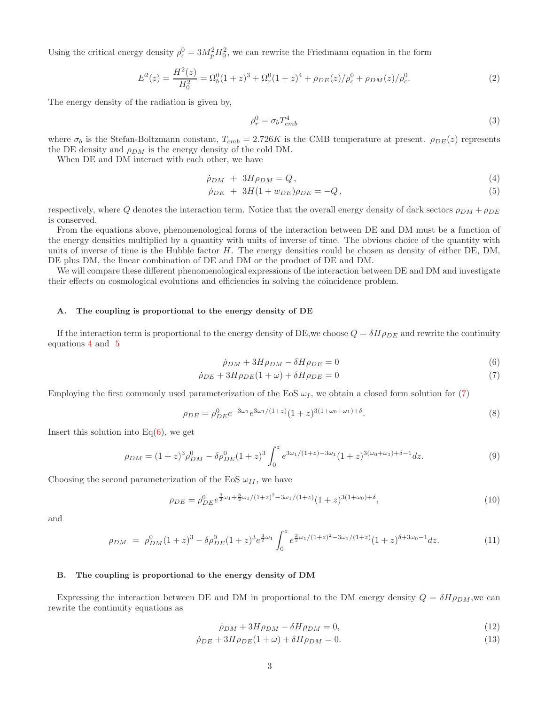Using the critical energy density  $\rho_c^0 = 3M_p^2 H_0^2$ , we can rewrite the Friedmann equation in the form

$$
E^{2}(z) = \frac{H^{2}(z)}{H_{0}^{2}} = \Omega_{b}^{0}(1+z)^{3} + \Omega_{r}^{0}(1+z)^{4} + \rho_{DE}(z)/\rho_{c}^{0} + \rho_{DM}(z)/\rho_{c}^{0}.
$$
 (2)

The energy density of the radiation is given by,

$$
\rho_r^0 = \sigma_b T_{cmb}^4 \tag{3}
$$

where  $\sigma_b$  is the Stefan-Boltzmann constant,  $T_{cmb} = 2.726K$  is the CMB temperature at present.  $\rho_{DE}(z)$  represents the DE density and  $\rho_{DM}$  is the energy density of the cold DM.

When DE and DM interact with each other, we have

<span id="page-2-0"></span>
$$
\dot{\rho}_{DM} + 3H\rho_{DM} = Q, \qquad (4)
$$

$$
\dot{\rho}_{DE} + 3H(1 + w_{DE})\rho_{DE} = -Q, \qquad (5)
$$

respectively, where Q denotes the interaction term. Notice that the overall energy density of dark sectors  $\rho_{DM} + \rho_{DE}$ is conserved.

From the equations above, phenomenological forms of the interaction between DE and DM must be a function of the energy densities multiplied by a quantity with units of inverse of time. The obvious choice of the quantity with units of inverse of time is the Hubble factor  $H$ . The energy densities could be chosen as density of either DE, DM, DE plus DM, the linear combination of DE and DM or the product of DE and DM.

We will compare these different phenomenological expressions of the interaction between DE and DM and investigate their effects on cosmological evolutions and efficiencies in solving the coincidence problem.

### A. The coupling is proportional to the energy density of DE

If the interaction term is proportional to the energy density of DE, we choose  $Q = \delta H \rho_{DE}$  and rewrite the continuity equations [4](#page-2-0) and [5](#page-2-0)

<span id="page-2-1"></span>
$$
\dot{\rho}_{DM} + 3H\rho_{DM} - \delta H\rho_{DE} = 0\tag{6}
$$

$$
\dot{\rho}_{DE} + 3H\rho_{DE}(1+\omega) + \delta H\rho_{DE} = 0\tag{7}
$$

Employing the first commonly used parameterization of the EoS  $\omega_I$ , we obtain a closed form solution for [\(7\)](#page-2-1)

$$
\rho_{DE} = \rho_{DE}^0 e^{-3\omega_1} e^{3\omega_1/(1+z)} (1+z)^{3(1+\omega_0+\omega_1)+\delta}.
$$
\n(8)

Insert this solution into  $Eq(6)$  $Eq(6)$ , we get

$$
\rho_{DM} = (1+z)^3 \rho_{DM}^0 - \delta \rho_{DE}^0 (1+z)^3 \int_0^z e^{3\omega_1/(1+z) - 3\omega_1} (1+z)^{3(\omega_0+\omega_1)+\delta-1} dz.
$$
\n(9)

Choosing the second parameterization of the EoS  $\omega_{II}$ , we have

$$
\rho_{DE} = \rho_{DE}^0 e^{\frac{3}{2}\omega_1 + \frac{3}{2}\omega_1/(1+z)^2 - 3\omega_1/(1+z)} (1+z)^{3(1+\omega_0)+\delta},\tag{10}
$$

and

$$
\rho_{DM} = \rho_{DM}^0 (1+z)^3 - \delta \rho_{DE}^0 (1+z)^3 e^{\frac{3}{2}\omega_1} \int_0^z e^{\frac{3}{2}\omega_1/(1+z)^2 - 3\omega_1/(1+z)} (1+z)^{\delta + 3\omega_0 - 1} dz.
$$
 (11)

#### B. The coupling is proportional to the energy density of DM

Expressing the interaction between DE and DM in proportional to the DM energy density  $Q = \delta H \rho_{DM}$ , we can rewrite the continuity equations as

<span id="page-2-2"></span>
$$
\dot{\rho}_{DM} + 3H\rho_{DM} - \delta H\rho_{DM} = 0,\tag{12}
$$

$$
\dot{\rho}_{DE} + 3H\rho_{DE}(1+\omega) + \delta H\rho_{DM} = 0. \tag{13}
$$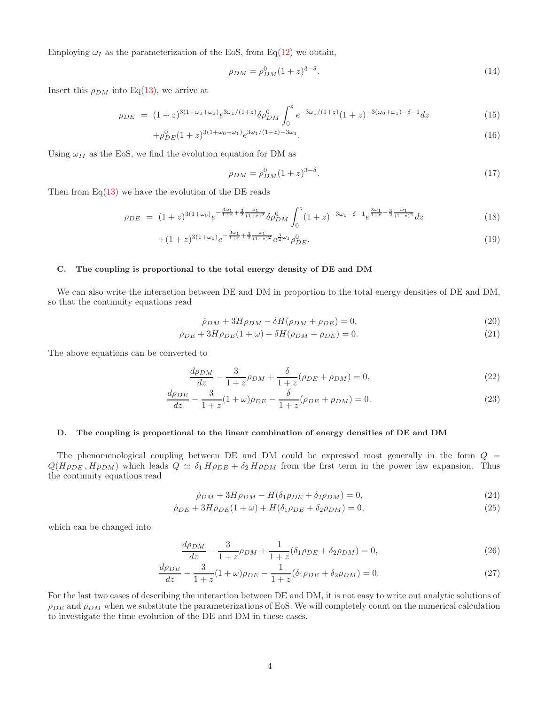Employing  $\omega_I$  as the parameterization of the EoS, from Eq[\(12\)](#page-2-2) we obtain,

$$
\rho_{DM} = \rho_{DM}^0 (1+z)^{3-\delta}.
$$
\n(14)

Insert this  $\rho_{DM}$  into Eq[\(13\)](#page-2-2), we arrive at

$$
\rho_{DE} = (1+z)^{3(1+\omega_0+\omega_1)} e^{3\omega_1/(1+z)} \delta \rho_{DM}^0 \int_0^z e^{-3\omega_1/(1+z)} (1+z)^{-3(\omega_0+\omega_1)-\delta-1} dz \tag{15}
$$

$$
+\rho_{DE}^0(1+z)^{3(1+\omega_0+\omega_1)}e^{3\omega_1/(1+z)-3\omega_1}.
$$
\n(16)

Using  $\omega_{II}$  as the EoS, we find the evolution equation for DM as

$$
\rho_{DM} = \rho_{DM}^0 (1+z)^{3-\delta}.
$$
\n(17)

Then from  $Eq(13)$  $Eq(13)$  we have the evolution of the DE reads

$$
\rho_{DE} = (1+z)^{3(1+\omega_0)} e^{-\frac{3\omega_1}{1+z} + \frac{3}{2}\frac{\omega_1}{(1+z)^2}} \delta \rho_{DM}^0 \int_0^z (1+z)^{-3\omega_0 - \delta - 1} e^{\frac{3\omega_1}{1+z} - \frac{3}{2}\frac{\omega_1}{(1+z)^2}} dz \tag{18}
$$

$$
+(1+z)^{3(1+\omega_0)}e^{-\frac{3\omega_1}{1+z}+\frac{3}{2}\frac{\omega_1}{(1+z)^2}}e^{\frac{3}{2}\omega_1}\rho_{DE}^0.
$$
\n(19)

# C. The coupling is proportional to the total energy density of DE and DM

We can also write the interaction between DE and DM in proportion to the total energy densities of DE and DM, so that the continuity equations read

$$
\dot{\rho}_{DM} + 3H\rho_{DM} - \delta H(\rho_{DM} + \rho_{DE}) = 0,\tag{20}
$$

$$
\dot{\rho}_{DE} + 3H\rho_{DE}(1+\omega) + \delta H(\rho_{DM} + \rho_{DE}) = 0.
$$
\n(21)

The above equations can be converted to

$$
\frac{d\rho_{DM}}{dz} - \frac{3}{1+z}\rho_{DM} + \frac{\delta}{1+z}(\rho_{DE} + \rho_{DM}) = 0,
$$
\n(22)

$$
\frac{d\rho_{DE}}{dz} - \frac{3}{1+z}(1+\omega)\rho_{DE} - \frac{\delta}{1+z}(\rho_{DE} + \rho_{DM}) = 0.
$$
 (23)

### D. The coupling is proportional to the linear combination of energy densities of DE and DM

The phenomenological coupling between DE and DM could be expressed most generally in the form  $Q =$  $Q(H\rho_{DE}, H\rho_{DM})$  which leads  $Q \simeq \delta_1 H\rho_{DE} + \delta_2 H\rho_{DM}$  from the first term in the power law expansion. Thus the continuity equations read

$$
\dot{\rho}_{DM} + 3H\rho_{DM} - H(\delta_1 \rho_{DE} + \delta_2 \rho_{DM}) = 0,\tag{24}
$$

$$
\dot{\rho}_{DE} + 3H\rho_{DE}(1+\omega) + H(\delta_1\rho_{DE} + \delta_2\rho_{DM}) = 0, \tag{25}
$$

which can be changed into

$$
\frac{d\rho_{DM}}{dz} - \frac{3}{1+z}\rho_{DM} + \frac{1}{1+z}(\delta_1\rho_{DE} + \delta_2\rho_{DM}) = 0,
$$
\n(26)

$$
\frac{d\rho_{DE}}{dz} - \frac{3}{1+z}(1+\omega)\rho_{DE} - \frac{1}{1+z}(\delta_1\rho_{DE} + \delta_2\rho_{DM}) = 0.
$$
 (27)

For the last two cases of describing the interaction between DE and DM, it is not easy to write out analytic solutions of  $\rho_{DE}$  and  $\rho_{DM}$  when we substitute the parameterizations of EoS. We will completely count on the numerical calculation to investigate the time evolution of the DE and DM in these cases.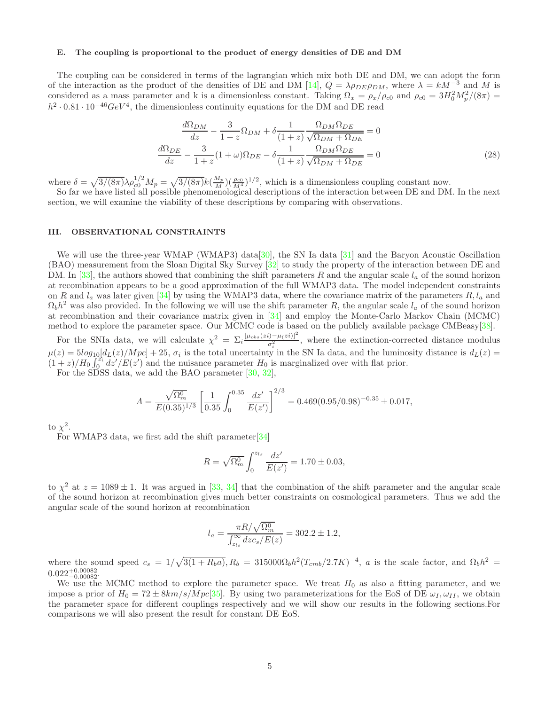# E. The coupling is proportional to the product of energy densities of DE and DM

The coupling can be considered in terms of the lagrangian which mix both DE and DM, we can adopt the form of the interaction as the product of the densities of DE and DM [\[14](#page-11-22)],  $Q = \lambda \rho_{DE} \rho_{DM}$ , where  $\lambda = kM^{-3}$  and M is considered as a mass parameter and k is a dimensionless constant. Taking  $\Omega_x = \rho_x/\rho_{c0}$  and  $\rho_{c0} = 3H_0^2M_p^2/(8\pi) =$  $h^2 \cdot 0.81 \cdot 10^{-46} GeV^4$ , the dimensionless continuity equations for the DM and DE read

$$
\frac{d\Omega_{DM}}{dz} - \frac{3}{1+z}\Omega_{DM} + \delta \frac{1}{(1+z)} \frac{\Omega_{DM}\Omega_{DE}}{\sqrt{\Omega_{DM} + \Omega_{DE}}} = 0
$$

$$
\frac{d\Omega_{DE}}{dz} - \frac{3}{1+z}(1+\omega)\Omega_{DE} - \delta \frac{1}{(1+z)} \frac{\Omega_{DM}\Omega_{DE}}{\sqrt{\Omega_{DM} + \Omega_{DE}}} = 0
$$
(28)

where  $\delta = \sqrt{3/(8\pi)}\lambda \rho_{c0}^{1/2}M_p = \sqrt{3/(8\pi)}k(\frac{M_p}{M}) (\frac{\rho_{c0}}{M^4})^{1/2}$ , which is a dimensionless coupling constant now.

So far we have listed all possible phenomenological descriptions of the interaction between DE and DM. In the next section, we will examine the viability of these descriptions by comparing with observations.

#### III. OBSERVATIONAL CONSTRAINTS

We will use the three-year WMAP (WMAP3) data<sup>[\[30](#page-11-25)]</sup>, the SN Ia data <sup>[31]</sup> and the Baryon Acoustic Oscillation (BAO) measurement from the Sloan Digital Sky Survey [\[32](#page-11-27)] to study the property of the interaction between DE and DM. In [\[33\]](#page-11-28), the authors showed that combining the shift parameters R and the angular scale  $l_a$  of the sound horizon at recombination appears to be a good approximation of the full WMAP3 data. The model independent constraints on R and  $l_a$  was later given [\[34\]](#page-11-29) by using the WMAP3 data, where the covariance matrix of the parameters  $R, l_a$  and  $\Omega_b h^2$  was also provided. In the following we will use the shift parameter R, the angular scale  $l_a$  of the sound horizon at recombination and their covariance matrix given in [\[34\]](#page-11-29) and employ the Monte-Carlo Markov Chain (MCMC) method to explore the parameter space. Our MCMC code is based on the publicly available package CMBeasy[\[38\]](#page-11-30).

For the SNIa data, we will calculate  $\chi^2 = \sum_i \frac{[\mu_{obs}(zi) - \mu_{\ell}z_i)]^2}{\sigma^2}$  $\frac{\sigma_i^2}{\sigma_i^2}$ , where the extinction-corrected distance modulus  $\mu(z) = 5log_{10}[d_L(z)/Mpc] + 25$ ,  $\sigma_i$  is the total uncertainty in the SN Ia data, and the luminosity distance is  $d_L(z)$  $(1+z)/H_0 \int_0^{z_i} dz'/E(z')$  and the nuisance parameter  $H_0$  is marginalized over with flat prior.

For the SDSS data, we add the BAO parameter [\[30,](#page-11-25) [32\]](#page-11-27),

$$
A = \frac{\sqrt{\Omega_m^0}}{E(0.35)^{1/3}} \left[ \frac{1}{0.35} \int_0^{0.35} \frac{dz'}{E(z')} \right]^{2/3} = 0.469(0.95/0.98)^{-0.35} \pm 0.017,
$$

to  $\chi^2$ .

For WMAP3 data, we first add the shift parameter[\[34\]](#page-11-29)

$$
R = \sqrt{\Omega_m^0} \int_0^{z_{ls}} \frac{dz'}{E(z')} = 1.70 \pm 0.03,
$$

to  $\chi^2$  at  $z = 1089 \pm 1$ . It was argued in [\[33,](#page-11-28) [34](#page-11-29)] that the combination of the shift parameter and the angular scale of the sound horizon at recombination gives much better constraints on cosmological parameters. Thus we add the angular scale of the sound horizon at recombination

$$
l_a = \frac{\pi R / \sqrt{\Omega_m^0}}{\int_{z_{ls}}^{\infty} dz c_s / E(z)} = 302.2 \pm 1.2,
$$

where the sound speed  $c_s = 1/\sqrt{3(1+R_b a)}$ ,  $R_b = 315000 \Omega_b h^2 (T_{cmb}/2.7K)^{-4}$ , a is the scale factor, and  $\Omega_b h^2 =$  $0.022^{+0.00082}_{-0.00082}.$ 

We use the MCMC method to explore the parameter space. We treat  $H_0$  as also a fitting parameter, and we impose a prior of  $H_0 = 72 \pm 8km/s/Mpc[35]$  $H_0 = 72 \pm 8km/s/Mpc[35]$ . By using two parameterizations for the EoS of DE  $\omega_I, \omega_{II}$ , we obtain the parameter space for different couplings respectively and we will show our results in the following sections.For comparisons we will also present the result for constant DE EoS.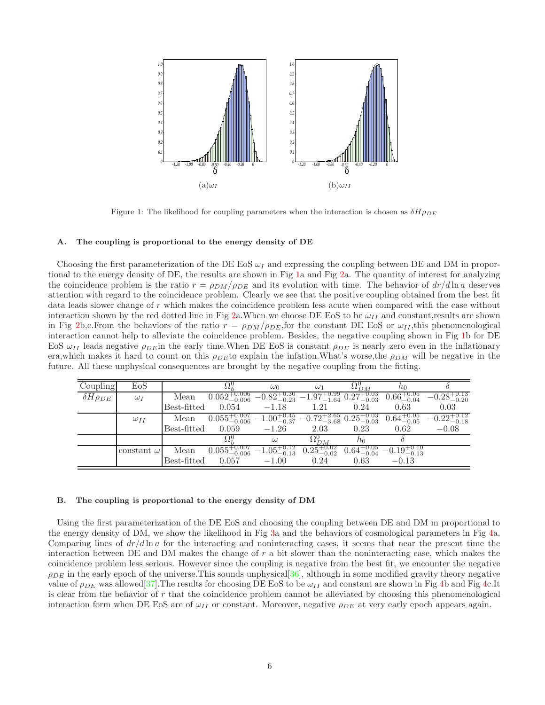

<span id="page-5-0"></span>Figure 1: The likelihood for coupling parameters when the interaction is chosen as  $\delta H \rho_{DE}$ 

### A. The coupling is proportional to the energy density of DE

Choosing the first parameterization of the DE EoS  $\omega_I$  and expressing the coupling between DE and DM in proportional to the energy density of DE, the results are shown in Fig [1a](#page-5-0) and Fig [2a](#page-6-0). The quantity of interest for analyzing the coincidence problem is the ratio  $r = \rho_{DM}/\rho_{DE}$  and its evolution with time. The behavior of  $dr/d\ln a$  deserves attention with regard to the coincidence problem. Clearly we see that the positive coupling obtained from the best fit data leads slower change of r which makes the coincidence problem less acute when compared with the case without interaction shown by the red dotted line in Fig [2a](#page-6-0).When we choose DE EoS to be  $\omega_{II}$  and constant, results are shown in Fig [2b](#page-6-0),c.From the behaviors of the ratio  $r = \rho_{DM}/\rho_{DE}$ , for the constant DE EoS or  $\omega_{II}$ , this phenomenological interaction cannot help to alleviate the coincidence problem. Besides, the negative coupling shown in Fig [1b](#page-5-0) for DE EoS  $\omega_{II}$  leads negative  $\rho_{DE}$  in the early time. When DE EoS is constant  $\rho_{DE}$  is nearly zero even in the inflationary era, which makes it hard to count on this  $\rho_{DE}$  to explain the infation. What's worse, the  $\rho_{DM}$  will be negative in the future. All these unphysical consequences are brought by the negative coupling from the fitting.

| Coupling             | EoS               |             |                                                                                                  | $\omega_0$                                                             | $\omega_1$             | $\Delta L_{DM}^{\sigma}$ | $n_0$                   |                         |
|----------------------|-------------------|-------------|--------------------------------------------------------------------------------------------------|------------------------------------------------------------------------|------------------------|--------------------------|-------------------------|-------------------------|
| $\delta H \rho_{DE}$ | $\omega_I$        | Mean        | $0.052^{+0.006}_{-0.006}$                                                                        | $-0.82_{-0.23}^{+0.30}$ $-1.97_{-1.64}^{+0.99}$ $0.27_{-0.03}^{+0.03}$ |                        |                          | $0.66^{+0.05}_{-0.04}$  | $-0.28^{+0.13}_{-0.20}$ |
|                      |                   | Best-fitted | 0.054                                                                                            | $-1.18$                                                                | 1.21                   | 0.24                     | 0.63                    | 0.03                    |
|                      | $\omega_{II}$     | Mean        | $0.055^{+0.007}_{-0.006}$ $-1.00^{+0.45}_{-0.37}$ $-0.72^{+2.65}_{-3.68}$ $0.25^{+0.03}_{-0.03}$ |                                                                        |                        |                          | $0.64^{+0.05}_{-0.05}$  | $-0.22^{+0.12}_{-0.18}$ |
|                      |                   | Best-fitted | 0.059                                                                                            | $-1.26$                                                                | 2.03                   | 0.23                     | 0.62                    | $-0.08$                 |
|                      |                   |             | $\Omega_i^{\iota}$                                                                               | $\omega$                                                               | $\Omega_{DM}^0$        | $n_{0}$                  |                         |                         |
|                      | constant $\omega$ | Mean        | $0.055^{+0.007}_{-0.006}$ $-1.05^{+0.12}_{-0.13}$                                                |                                                                        | $0.25^{+0.02}_{-0.02}$ | $0.64^{+0.05}_{-0.04}$   | $-0.19^{+0.10}_{-0.13}$ |                         |
|                      |                   | Best-fitted | 0.057                                                                                            | $-1.00$                                                                | 0.24                   | 0.63                     | $-0.13$                 |                         |

### B. The coupling is proportional to the energy density of DM

Using the first parameterization of the DE EoS and choosing the coupling between DE and DM in proportional to the energy density of DM, we show the likelihood in Fig [3a](#page-6-1) and the behaviors of cosmological parameters in Fig [4a](#page-7-0). Comparing lines of  $dr/d\ln a$  for the interacting and noninteracting cases, it seems that near the present time the interaction between DE and DM makes the change of r a bit slower than the noninteracting case, which makes the coincidence problem less serious. However since the coupling is negative from the best fit, we encounter the negative  $\rho_{DE}$  in the early epoch of the universe. This sounds unphysical [\[36\]](#page-11-19), although in some modified gravity theory negative value of  $\rho_{DE}$  was allowed<sup>[\[37](#page-11-32)]</sup>. The results for choosing DE EoS to be  $\omega_{II}$  and constant are shown in Fig [4b](#page-7-0) and Fig [4c](#page-7-0).It is clear from the behavior of r that the coincidence problem cannot be alleviated by choosing this phenomenological interaction form when DE EoS are of  $\omega_{II}$  or constant. Moreover, negative  $\rho_{DE}$  at very early epoch appears again.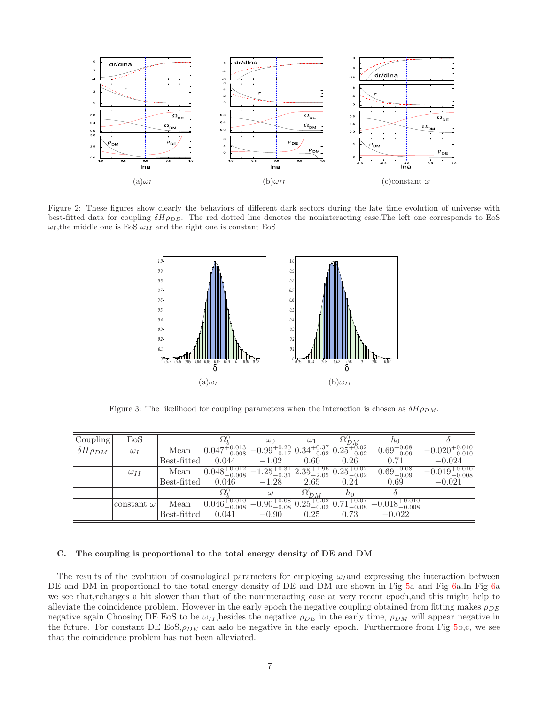

<span id="page-6-0"></span>Figure 2: These figures show clearly the behaviors of different dark sectors during the late time evolution of universe with best-fitted data for coupling  $\delta H \rho_{DE}$ . The red dotted line denotes the noninteracting case. The left one corresponds to EoS  $\omega_I$ , the middle one is EoS  $\omega_{II}$  and the right one is constant EoS



<span id="page-6-1"></span>Figure 3: The likelihood for coupling parameters when the interaction is chosen as  $\delta H \rho_{DM}$ .

| Coupling             | EoS               |             |                                                                                                 | $\omega_0$                                                                       | $\omega_1$      | $\Omega_{DM}^0$ | $n_0$                      |                            |
|----------------------|-------------------|-------------|-------------------------------------------------------------------------------------------------|----------------------------------------------------------------------------------|-----------------|-----------------|----------------------------|----------------------------|
| $\delta H \rho_{DM}$ | $\omega_I$        | Mean        | $0.047_{-0.008}^{+0.013}$ $-0.99_{-0.17}^{+0.20}$ $0.34_{-0.92}^{+0.37}$ $0.25_{-0.02}^{+0.02}$ |                                                                                  |                 |                 | $0.69^{+0.08}_{-0.09}$     | $-0.020^{+0.010}_{-0.010}$ |
|                      |                   | Best-fitted | 0.044                                                                                           | $-1.02$                                                                          | 0.60            | 0.26            | 0.71                       | $-0.024$                   |
|                      | $\omega_{II}$     | Mean        | $0.048_{-0.008}^{+0.012}$ $-1.25_{-0.31}^{+0.31}$ $2.35_{-2.05}^{+1.96}$ $0.25_{-0.02}^{+0.02}$ |                                                                                  |                 |                 | $0.69^{+0.08}_{-0.09}$     | $-0.019_{-0.008}^{+0.010}$ |
|                      |                   | Best-fitted | 0.046                                                                                           | $-1.28$                                                                          | 2.65            | 0.24            | 0.69                       | $-0.021$                   |
|                      |                   |             | $\Omega_{\iota}^{\nu}$                                                                          | $\omega$                                                                         | $\Omega_{DM}^0$ | $h_{0}$         |                            |                            |
|                      | constant $\omega$ | Mean        | $0.046_{-0.008}^{+0.010}$                                                                       | $\overline{-0.90^{+0.08}_{-0.08}}$ $0.25^{+0.02}_{-0.02}$ $0.71^{+0.07}_{-0.08}$ |                 |                 | $-0.018_{-0.008}^{+0.010}$ |                            |
|                      |                   | Best-fitted | 0.041                                                                                           | $-0.90$                                                                          | 0.25            | 0.73            | $-0.022$                   |                            |

### C. The coupling is proportional to the total energy density of DE and DM

The results of the evolution of cosmological parameters for employing  $\omega_I$  and expressing the interaction between DE and DM in proportional to the total energy density of DE and DM are shown in Fig [5a](#page-7-1) and Fig [6a](#page-8-0).In Fig 6a we see that,rchanges a bit slower than that of the noninteracting case at very recent epoch,and this might help to alleviate the coincidence problem. However in the early epoch the negative coupling obtained from fitting makes  $\rho_{DE}$ negative again.Choosing DE EoS to be  $\omega_{II}$ , besides the negative  $\rho_{DE}$  in the early time,  $\rho_{DM}$  will appear negative in the future. For constant DE  $EoS$ ,  $\rho_{DE}$  can aslo be negative in the early epoch. Furthermore from Fig [5b](#page-7-1),c, we see that the coincidence problem has not been alleviated.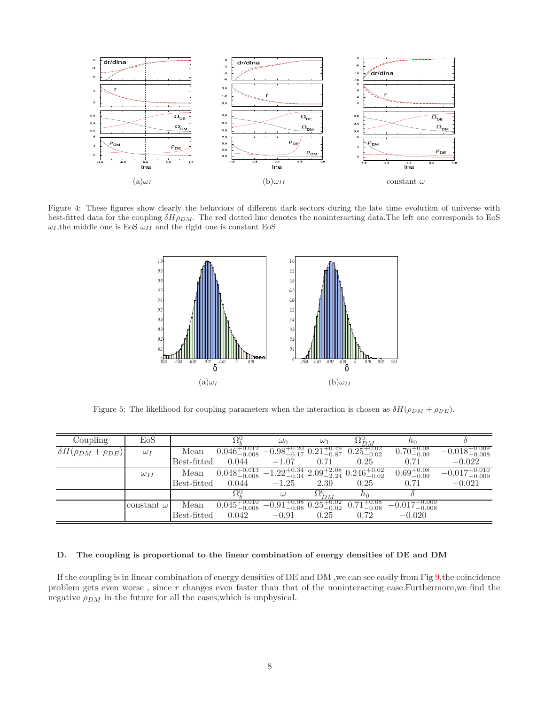

<span id="page-7-0"></span>Figure 4: These figures show clearly the behaviors of different dark sectors during the late time evolution of universe with best-fitted data for the coupling  $\delta H \rho_{DM}$ . The red dotted line denotes the noninteracting data. The left one corresponds to EoS  $\omega_I$ , the middle one is EoS  $\omega_{II}$  and the right one is constant EoS



<span id="page-7-1"></span>Figure 5: The likelihood for coupling parameters when the interaction is chosen as  $\delta H(\rho_{DM} + \rho_{DE})$ .

| Coupling                          | EoS               |             |                                                                                                  | $\omega_0$                                     | $\omega_1$      | $\Omega_{DM}^9$        | $n_0$                      |                            |
|-----------------------------------|-------------------|-------------|--------------------------------------------------------------------------------------------------|------------------------------------------------|-----------------|------------------------|----------------------------|----------------------------|
| $\delta H(\rho_{DM} + \rho_{DE})$ | $\omega_I$        | Mean        | $0.046^{+0.012}_{-0.008}$ $-0.98^{+0.20}_{-0.17}$ $0.21^{+0.49}_{-0.87}$                         |                                                |                 | $0.25^{+0.02}_{-0.02}$ | $0.70^{+0.08}_{-0.09}$     | $-0.018_{-0.008}^{+0.009}$ |
|                                   |                   | Best-fitted | 0.044                                                                                            | $-1.07$                                        | 0.71            | 0.25                   | 0.71                       | $-0.022$                   |
|                                   | $\omega_{II}$     | Mean        | $0.048^{+0.013}_{-0.008}$ $-1.22^{+0.34}_{-0.34}$ $2.09^{+2.08}_{-2.24}$ $0.246^{+0.02}_{-0.02}$ |                                                |                 |                        | $0.69^{+0.08}_{-0.09}$     | $-0.017_{-0.009}^{+0.010}$ |
|                                   |                   | Best-fitted | 0.044                                                                                            | $-1.25$                                        | 2.39            | 0.25                   | 0.71                       | $-0.021$                   |
|                                   |                   |             |                                                                                                  |                                                | $\Omega_{DM}^0$ | $n_0$                  |                            |                            |
|                                   | constant $\omega$ | Mean        | $0.045^{+0.010}_{-0.008}$                                                                        | $-0.91_{-0.08}^{+0.08}$ $0.25_{-0.02}^{+0.02}$ |                 | $0.71^{+0.08}_{-0.08}$ | $-0.017_{-0.008}^{+0.009}$ |                            |
|                                   |                   | Best-fitted | 0.042                                                                                            | $-0.91$                                        | 0.25            | 0.72                   | $-0.020$                   |                            |

# D. The coupling is proportional to the linear combination of energy densities of DE and DM

If the coupling is in linear combination of energy densities of  $DE$  and  $DM$ , we can see easily from Fig  $9$ , the coincidence problem gets even worse , since r changes even faster than that of the noninteracting case.Furthermore,we find the negative  $\rho_{DM}$  in the future for all the cases, which is unphysical.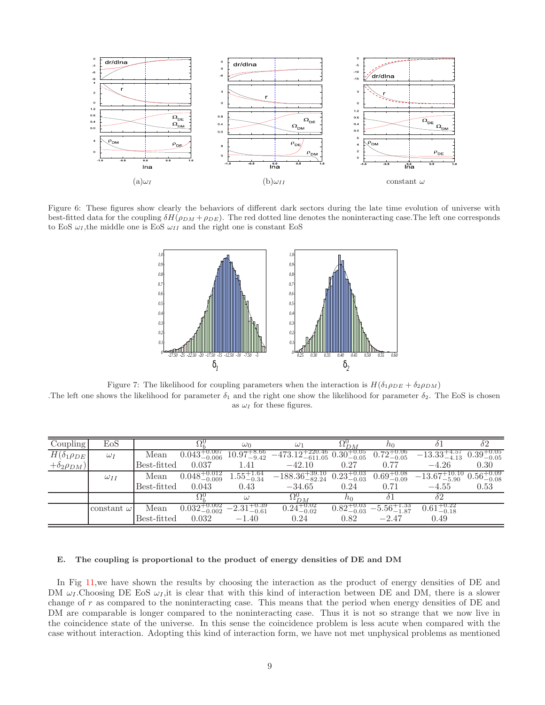

<span id="page-8-0"></span>Figure 6: These figures show clearly the behaviors of different dark sectors during the late time evolution of universe with best-fitted data for the coupling  $\delta H(\rho_{DM} + \rho_{DE})$ . The red dotted line denotes the noninteracting case. The left one corresponds to EoS  $\omega_I$ , the middle one is EoS  $\omega_{II}$  and the right one is constant EoS



Figure 7: The likelihood for coupling parameters when the interaction is  $H(\delta_1 \rho_{DE} + \delta_2 \rho_{DM})$ .The left one shows the likelihood for parameter  $\delta_1$  and the right one show the likelihood for parameter  $\delta_2$ . The EoS is chosen as  $\omega_I$  for these figures.

| Coupling                | $_{\rm EoS}$      |               |                           | $\omega_0$                         | $\omega_1$                    | $\Omega_{DM}^0$        | no                      | $\delta$ 1               | $\delta 2$             |
|-------------------------|-------------------|---------------|---------------------------|------------------------------------|-------------------------------|------------------------|-------------------------|--------------------------|------------------------|
| $H(\delta_1 \rho_{DE})$ | $\omega_I$        | Mean          | $0.043^{+0.007}_{-0.006}$ | $10.97^{+8.66}_{-9.42}$            | $-473.12_{-611.05}^{+220.46}$ | $0.30^{+0.05}_{-0.05}$ | $0.72^{+0.06}_{-0.05}$  | $-13.33_{-4.13}^{+4.57}$ | $0.39^{+0.05}_{-0.05}$ |
| $+\delta_2\rho_{DM}$ )  |                   | $Best-fitted$ | 0.037                     | 1.41                               | $-42.10$                      | 0.27                   | 0.77                    | $-4.26$                  | 0.30                   |
|                         | $\omega_{II}$     | Mean          | $0.048^{+0.012}_{-0.009}$ | $1.55^{+1.64}_{-0.34}$             | $-188.36_{-82.24}^{+39.10}$   | $0.23_{-0.03}^{+0.03}$ | $0.69^{+0.08}_{-0.09}$  | $-13.67^{+10.10}_{-7}$ . | $0.56^{+0.09}_{-0.08}$ |
|                         |                   | Best-fitted   | 0.043                     | 0.43                               | $-34.65$                      | 0.24                   | 0.71                    | $-4.55$                  | 0.53                   |
|                         |                   |               |                           | $\omega$                           | $\Omega_{DM}^0$               |                        | $\delta$ 1              | $\delta 2$               |                        |
|                         | constant $\omega$ | Mean          | $0.032_{-0.002}^{+0.002}$ | +0.39<br>$-2.31^{+\cdots}_{-0.61}$ | $0.24^{+0.02}_{-0.02}$        | $0.82^{+0.03}_{-0.03}$ | $-5.56_{-1.87}^{+1.33}$ | $0.61^{+0.22}_{-0.18}$   |                        |
|                         |                   | Best-fitted   | 0.032                     | $-1.40$                            | 0.24                          | 0.82                   | $-2.47$                 | 0.49                     |                        |

# E. The coupling is proportional to the product of energy densities of DE and DM

In Fig [11,](#page-10-0)we have shown the results by choosing the interaction as the product of energy densities of DE and DM  $\omega_I$ . Choosing DE EoS  $\omega_I$ , it is clear that with this kind of interaction between DE and DM, there is a slower change of r as compared to the noninteracting case. This means that the period when energy densities of DE and DM are comparable is longer compared to the noninteracting case. Thus it is not so strange that we now live in the coincidence state of the universe. In this sense the coincidence problem is less acute when compared with the case without interaction. Adopting this kind of interaction form, we have not met unphysical problems as mentioned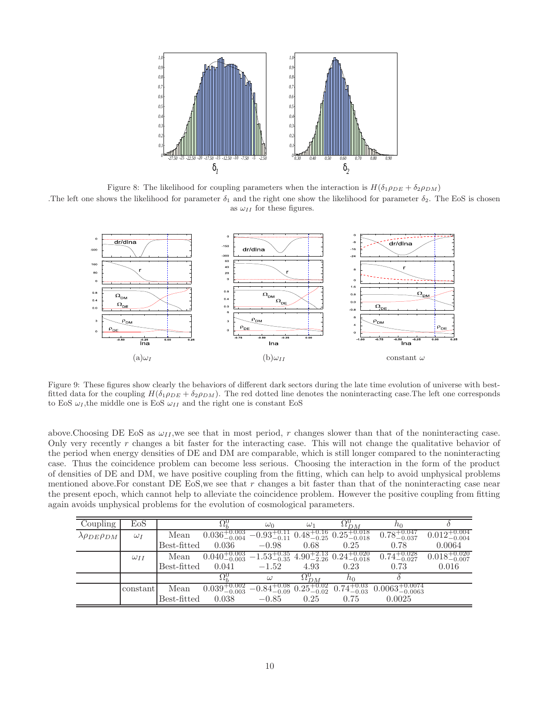

Figure 8: The likelihood for coupling parameters when the interaction is  $H(\delta_1 \rho_{DE} + \delta_2 \rho_{DM})$ .The left one shows the likelihood for parameter  $\delta_1$  and the right one show the likelihood for parameter  $\delta_2$ . The EoS is chosen

as  $\omega_{II}$  for these figures.



<span id="page-9-0"></span>Figure 9: These figures show clearly the behaviors of different dark sectors during the late time evolution of universe with bestfitted data for the coupling  $H(\delta_1 \rho_{DE} + \delta_2 \rho_{DM})$ . The red dotted line denotes the noninteracting case. The left one corresponds to EoS  $\omega_I$ , the middle one is EoS  $\omega_{II}$  and the right one is constant EoS

above. Choosing DE EoS as  $\omega_{II}$ , we see that in most period, r changes slower than that of the noninteracting case. Only very recently  $r$  changes a bit faster for the interacting case. This will not change the qualitative behavior of the period when energy densities of DE and DM are comparable, which is still longer compared to the noninteracting case. Thus the coincidence problem can become less serious. Choosing the interaction in the form of the product of densities of DE and DM, we have positive coupling from the fitting, which can help to avoid unphysical problems mentioned above. For constant DE EoS, we see that  $r$  changes a bit faster than that of the noninteracting case near the present epoch, which cannot help to alleviate the coincidence problem. However the positive coupling from fitting again avoids unphysical problems for the evolution of cosmological parameters.

| Coupling                      | EoS           |                   | 54Z                                                                                               | $\omega_0$                                     | $\omega_1$      | $\Delta l_{DM}$        | $n_0$                                                                                                                      |                           |
|-------------------------------|---------------|-------------------|---------------------------------------------------------------------------------------------------|------------------------------------------------|-----------------|------------------------|----------------------------------------------------------------------------------------------------------------------------|---------------------------|
| $\lambda \rho_{DE} \rho_{DM}$ | $\omega_I$    | Mean              | $0.036^{+0.003}_{-0.004}$ $-0.93^{+0.11}_{-0.11}$ $0.48^{+0.16}_{-0.25}$ $0.25^{+0.018}_{-0.018}$ |                                                |                 |                        | $0.78^{+0.047}_{-0.037}$                                                                                                   | $0.012_{-0.004}^{+0.004}$ |
|                               |               | Best-fitted 0.036 |                                                                                                   | $-0.98$                                        | 0.68            | 0.25                   | 0.78                                                                                                                       | 0.0064                    |
|                               | $\omega_{II}$ | Mean              |                                                                                                   |                                                |                 |                        | $0.040^{+0.003}_{-0.003}$ $-1.53^{+0.35}_{-0.35}$ $4.90^{+2.13}_{-2.26}$ $0.24^{+0.020}_{-0.018}$ $0.74^{+0.028}_{-0.027}$ | $0.018_{-0.007}^{+0.020}$ |
|                               |               | Best-fitted       | 0.041                                                                                             | $-1.52$                                        | 4.93            | 0.23                   | 0.73                                                                                                                       | 0.016                     |
|                               |               |                   | 92.                                                                                               | $\omega$                                       | $\Omega_{DM}^0$ | $h_{0}$                |                                                                                                                            |                           |
|                               | constant      | Mean              | $0.039^{+0.002}_{-0.003}$                                                                         | $-0.84_{-0.09}^{+0.08}$ $0.25_{-0.02}^{+0.02}$ |                 | $0.74^{+0.03}_{-0.03}$ | $0.0063_{-0.0063}^{+0.0074}$                                                                                               |                           |
|                               |               | Best-fitted       | 0.038                                                                                             | $-0.85$                                        | 0.25            | 0.75                   | 0.0025                                                                                                                     |                           |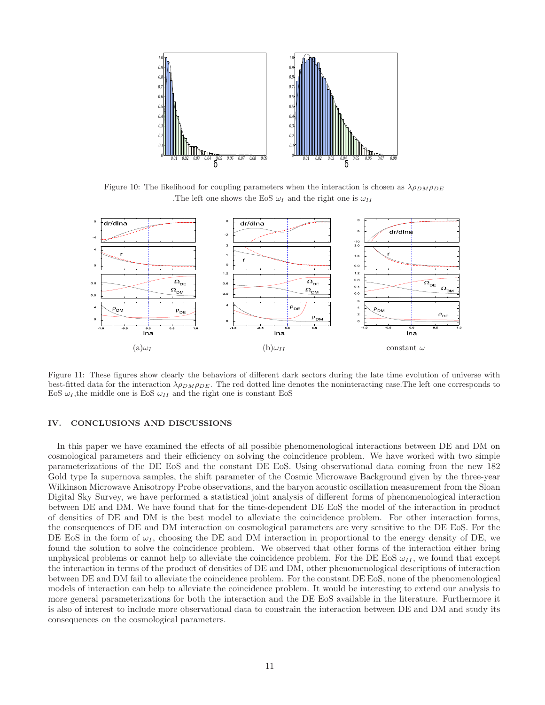

Figure 10: The likelihood for coupling parameters when the interaction is chosen as  $\lambda \rho_{DMPDE}$ .The left one shows the EoS  $\omega_I$  and the right one is  $\omega_{II}$ 



<span id="page-10-0"></span>Figure 11: These figures show clearly the behaviors of different dark sectors during the late time evolution of universe with best-fitted data for the interaction  $\lambda \rho_{DM} \rho_{DE}$ . The red dotted line denotes the noninteracting case. The left one corresponds to EoS  $\omega_I$ , the middle one is EoS  $\omega_{II}$  and the right one is constant EoS

# IV. CONCLUSIONS AND DISCUSSIONS

In this paper we have examined the effects of all possible phenomenological interactions between DE and DM on cosmological parameters and their efficiency on solving the coincidence problem. We have worked with two simple parameterizations of the DE EoS and the constant DE EoS. Using observational data coming from the new 182 Gold type Ia supernova samples, the shift parameter of the Cosmic Microwave Background given by the three-year Wilkinson Microwave Anisotropy Probe observations, and the baryon acoustic oscillation measurement from the Sloan Digital Sky Survey, we have performed a statistical joint analysis of different forms of phenomenological interaction between DE and DM. We have found that for the time-dependent DE EoS the model of the interaction in product of densities of DE and DM is the best model to alleviate the coincidence problem. For other interaction forms, the consequences of DE and DM interaction on cosmological parameters are very sensitive to the DE EoS. For the DE EoS in the form of  $\omega_I$ , choosing the DE and DM interaction in proportional to the energy density of DE, we found the solution to solve the coincidence problem. We observed that other forms of the interaction either bring unphysical problems or cannot help to alleviate the coincidence problem. For the DE EoS  $\omega_{II}$ , we found that except the interaction in terms of the product of densities of DE and DM, other phenomenological descriptions of interaction between DE and DM fail to alleviate the coincidence problem. For the constant DE EoS, none of the phenomenological models of interaction can help to alleviate the coincidence problem. It would be interesting to extend our analysis to more general parameterizations for both the interaction and the DE EoS available in the literature. Furthermore it is also of interest to include more observational data to constrain the interaction between DE and DM and study its consequences on the cosmological parameters.